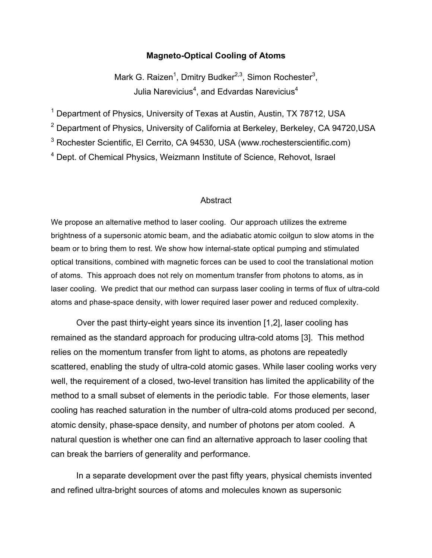#### **Magneto-Optical Cooling of Atoms**

Mark G. Raizen<sup>1</sup>, Dmitry Budker<sup>2,3</sup>, Simon Rochester<sup>3</sup>, Julia Narevicius<sup>4</sup>, and Edvardas Narevicius<sup>4</sup>

 $1$  Department of Physics, University of Texas at Austin, Austin, TX 78712, USA

<sup>2</sup> Department of Physics, University of California at Berkeley, Berkeley, CA 94720, USA

<sup>3</sup> Rochester Scientific, El Cerrito, CA 94530, USA (www.rochesterscientific.com)

<sup>4</sup> Dept. of Chemical Physics, Weizmann Institute of Science, Rehovot, Israel

#### **Abstract**

We propose an alternative method to laser cooling. Our approach utilizes the extreme brightness of a supersonic atomic beam, and the adiabatic atomic coilgun to slow atoms in the beam or to bring them to rest. We show how internal-state optical pumping and stimulated optical transitions, combined with magnetic forces can be used to cool the translational motion of atoms. This approach does not rely on momentum transfer from photons to atoms, as in laser cooling. We predict that our method can surpass laser cooling in terms of flux of ultra-cold atoms and phase-space density, with lower required laser power and reduced complexity.

Over the past thirty-eight years since its invention [1,2], laser cooling has remained as the standard approach for producing ultra-cold atoms [3]. This method relies on the momentum transfer from light to atoms, as photons are repeatedly scattered, enabling the study of ultra-cold atomic gases. While laser cooling works very well, the requirement of a closed, two-level transition has limited the applicability of the method to a small subset of elements in the periodic table. For those elements, laser cooling has reached saturation in the number of ultra-cold atoms produced per second, atomic density, phase-space density, and number of photons per atom cooled. A natural question is whether one can find an alternative approach to laser cooling that can break the barriers of generality and performance.

In a separate development over the past fifty years, physical chemists invented and refined ultra-bright sources of atoms and molecules known as supersonic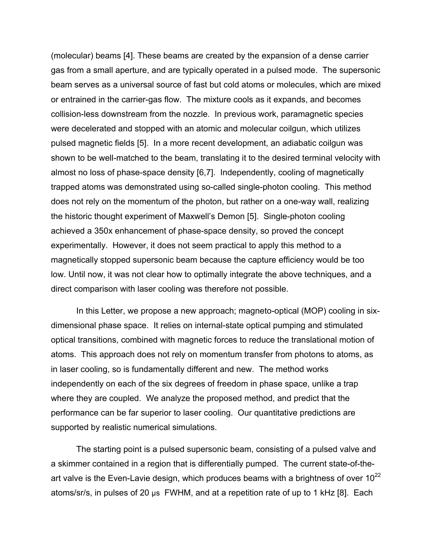(molecular) beams [4]. These beams are created by the expansion of a dense carrier gas from a small aperture, and are typically operated in a pulsed mode. The supersonic beam serves as a universal source of fast but cold atoms or molecules, which are mixed or entrained in the carrier-gas flow. The mixture cools as it expands, and becomes collision-less downstream from the nozzle. In previous work, paramagnetic species were decelerated and stopped with an atomic and molecular coilgun, which utilizes pulsed magnetic fields [5]. In a more recent development, an adiabatic coilgun was shown to be well-matched to the beam, translating it to the desired terminal velocity with almost no loss of phase-space density [6,7]. Independently, cooling of magnetically trapped atoms was demonstrated using so-called single-photon cooling. This method does not rely on the momentum of the photon, but rather on a one-way wall, realizing the historic thought experiment of Maxwell's Demon [5]. Single-photon cooling achieved a 350x enhancement of phase-space density, so proved the concept experimentally. However, it does not seem practical to apply this method to a magnetically stopped supersonic beam because the capture efficiency would be too low. Until now, it was not clear how to optimally integrate the above techniques, and a direct comparison with laser cooling was therefore not possible.

In this Letter, we propose a new approach; magneto-optical (MOP) cooling in sixdimensional phase space. It relies on internal-state optical pumping and stimulated optical transitions, combined with magnetic forces to reduce the translational motion of atoms. This approach does not rely on momentum transfer from photons to atoms, as in laser cooling, so is fundamentally different and new. The method works independently on each of the six degrees of freedom in phase space, unlike a trap where they are coupled. We analyze the proposed method, and predict that the performance can be far superior to laser cooling. Our quantitative predictions are supported by realistic numerical simulations.

The starting point is a pulsed supersonic beam, consisting of a pulsed valve and a skimmer contained in a region that is differentially pumped. The current state-of-theart valve is the Even-Lavie design, which produces beams with a brightness of over  $10^{22}$ atoms/sr/s, in pulses of 20  $\mu$ s FWHM, and at a repetition rate of up to 1 kHz [8]. Each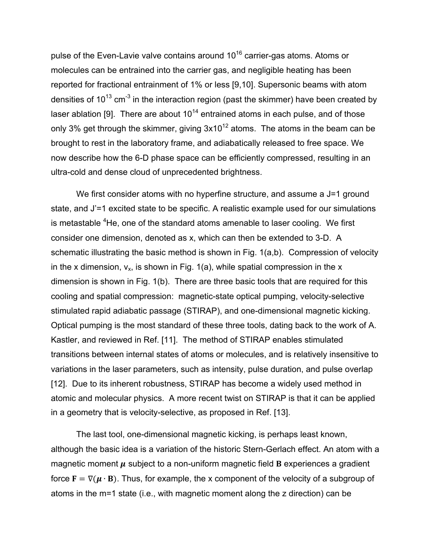pulse of the Even-Lavie valve contains around  $10^{16}$  carrier-gas atoms. Atoms or molecules can be entrained into the carrier gas, and negligible heating has been reported for fractional entrainment of 1% or less [9,10]. Supersonic beams with atom densities of  $10^{13}$  cm<sup>-3</sup> in the interaction region (past the skimmer) have been created by laser ablation [9]. There are about  $10^{14}$  entrained atoms in each pulse, and of those only 3% get through the skimmer, giving  $3x10^{12}$  atoms. The atoms in the beam can be brought to rest in the laboratory frame, and adiabatically released to free space. We now describe how the 6-D phase space can be efficiently compressed, resulting in an ultra-cold and dense cloud of unprecedented brightness.

We first consider atoms with no hyperfine structure, and assume a J=1 ground state, and J'=1 excited state to be specific. A realistic example used for our simulations is metastable  ${}^{4}$ He, one of the standard atoms amenable to laser cooling. We first consider one dimension, denoted as x, which can then be extended to 3-D. A schematic illustrating the basic method is shown in Fig. 1(a,b). Compression of velocity in the x dimension,  $v_x$ , is shown in Fig. 1(a), while spatial compression in the x dimension is shown in Fig. 1(b). There are three basic tools that are required for this cooling and spatial compression: magnetic-state optical pumping, velocity-selective stimulated rapid adiabatic passage (STIRAP), and one-dimensional magnetic kicking. Optical pumping is the most standard of these three tools, dating back to the work of A. Kastler, and reviewed in Ref. [11]. The method of STIRAP enables stimulated transitions between internal states of atoms or molecules, and is relatively insensitive to variations in the laser parameters, such as intensity, pulse duration, and pulse overlap [12]. Due to its inherent robustness, STIRAP has become a widely used method in atomic and molecular physics. A more recent twist on STIRAP is that it can be applied in a geometry that is velocity-selective, as proposed in Ref. [13].

The last tool, one-dimensional magnetic kicking, is perhaps least known, although the basic idea is a variation of the historic Stern-Gerlach effect. An atom with a magnetic moment  $\mu$  subject to a non-uniform magnetic field **B** experiences a gradient force  $\mathbf{F} = \nabla(\mathbf{\mu} \cdot \mathbf{B})$ . Thus, for example, the x component of the velocity of a subgroup of atoms in the m=1 state (i.e., with magnetic moment along the z direction) can be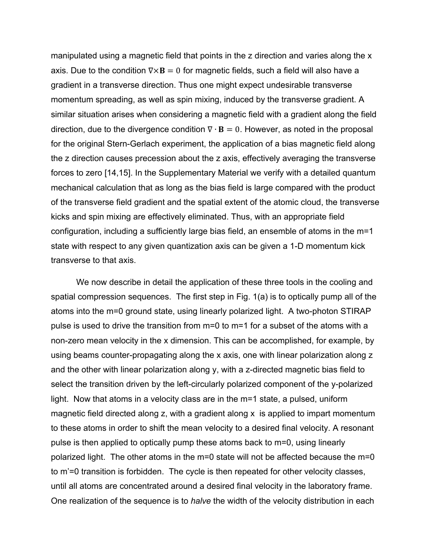manipulated using a magnetic field that points in the z direction and varies along the x axis. Due to the condition  $\nabla \times \mathbf{B} = 0$  for magnetic fields, such a field will also have a gradient in a transverse direction. Thus one might expect undesirable transverse momentum spreading, as well as spin mixing, induced by the transverse gradient. A similar situation arises when considering a magnetic field with a gradient along the field direction, due to the divergence condition  $\nabla \cdot \mathbf{B} = 0$ . However, as noted in the proposal for the original Stern-Gerlach experiment, the application of a bias magnetic field along the z direction causes precession about the z axis, effectively averaging the transverse forces to zero [14,15]. In the Supplementary Material we verify with a detailed quantum mechanical calculation that as long as the bias field is large compared with the product of the transverse field gradient and the spatial extent of the atomic cloud, the transverse kicks and spin mixing are effectively eliminated. Thus, with an appropriate field configuration, including a sufficiently large bias field, an ensemble of atoms in the m=1 state with respect to any given quantization axis can be given a 1-D momentum kick transverse to that axis.

We now describe in detail the application of these three tools in the cooling and spatial compression sequences. The first step in Fig. 1(a) is to optically pump all of the atoms into the m=0 ground state, using linearly polarized light. A two-photon STIRAP pulse is used to drive the transition from m=0 to m=1 for a subset of the atoms with a non-zero mean velocity in the x dimension. This can be accomplished, for example, by using beams counter-propagating along the x axis, one with linear polarization along z and the other with linear polarization along y, with a z-directed magnetic bias field to select the transition driven by the left-circularly polarized component of the y-polarized light. Now that atoms in a velocity class are in the m=1 state, a pulsed, uniform magnetic field directed along z, with a gradient along x is applied to impart momentum to these atoms in order to shift the mean velocity to a desired final velocity. A resonant pulse is then applied to optically pump these atoms back to m=0, using linearly polarized light. The other atoms in the m=0 state will not be affected because the m=0 to m'=0 transition is forbidden. The cycle is then repeated for other velocity classes, until all atoms are concentrated around a desired final velocity in the laboratory frame. One realization of the sequence is to *halve* the width of the velocity distribution in each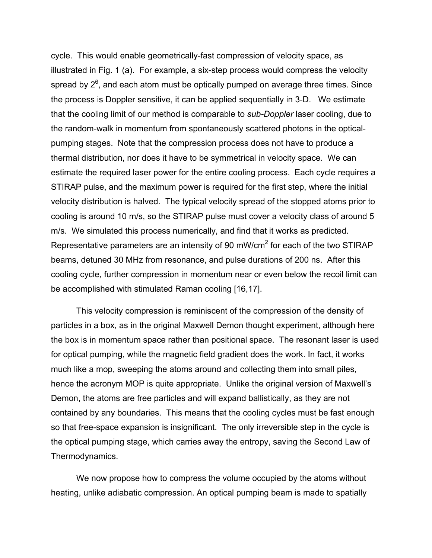cycle. This would enable geometrically-fast compression of velocity space, as illustrated in Fig. 1 (a). For example, a six-step process would compress the velocity spread by  $2^6$ , and each atom must be optically pumped on average three times. Since the process is Doppler sensitive, it can be applied sequentially in 3-D. We estimate that the cooling limit of our method is comparable to *sub-Doppler* laser cooling, due to the random-walk in momentum from spontaneously scattered photons in the opticalpumping stages. Note that the compression process does not have to produce a thermal distribution, nor does it have to be symmetrical in velocity space. We can estimate the required laser power for the entire cooling process. Each cycle requires a STIRAP pulse, and the maximum power is required for the first step, where the initial velocity distribution is halved. The typical velocity spread of the stopped atoms prior to cooling is around 10 m/s, so the STIRAP pulse must cover a velocity class of around 5 m/s. We simulated this process numerically, and find that it works as predicted. Representative parameters are an intensity of 90 mW/cm<sup>2</sup> for each of the two STIRAP beams, detuned 30 MHz from resonance, and pulse durations of 200 ns. After this cooling cycle, further compression in momentum near or even below the recoil limit can be accomplished with stimulated Raman cooling [16,17].

This velocity compression is reminiscent of the compression of the density of particles in a box, as in the original Maxwell Demon thought experiment, although here the box is in momentum space rather than positional space. The resonant laser is used for optical pumping, while the magnetic field gradient does the work. In fact, it works much like a mop, sweeping the atoms around and collecting them into small piles, hence the acronym MOP is quite appropriate. Unlike the original version of Maxwell's Demon, the atoms are free particles and will expand ballistically, as they are not contained by any boundaries. This means that the cooling cycles must be fast enough so that free-space expansion is insignificant. The only irreversible step in the cycle is the optical pumping stage, which carries away the entropy, saving the Second Law of Thermodynamics.

We now propose how to compress the volume occupied by the atoms without heating, unlike adiabatic compression. An optical pumping beam is made to spatially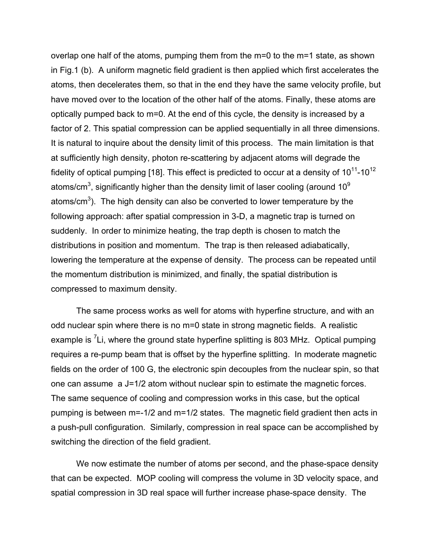overlap one half of the atoms, pumping them from the m=0 to the m=1 state, as shown in Fig.1 (b). A uniform magnetic field gradient is then applied which first accelerates the atoms, then decelerates them, so that in the end they have the same velocity profile, but have moved over to the location of the other half of the atoms. Finally, these atoms are optically pumped back to m=0. At the end of this cycle, the density is increased by a factor of 2. This spatial compression can be applied sequentially in all three dimensions. It is natural to inquire about the density limit of this process. The main limitation is that at sufficiently high density, photon re-scattering by adjacent atoms will degrade the fidelity of optical pumping [18]. This effect is predicted to occur at a density of  $10^{11}$ -10<sup>12</sup> atoms/cm<sup>3</sup>, significantly higher than the density limit of laser cooling (around 10<sup>9</sup> atoms/cm<sup>3</sup>). The high density can also be converted to lower temperature by the following approach: after spatial compression in 3-D, a magnetic trap is turned on suddenly. In order to minimize heating, the trap depth is chosen to match the distributions in position and momentum. The trap is then released adiabatically, lowering the temperature at the expense of density. The process can be repeated until the momentum distribution is minimized, and finally, the spatial distribution is compressed to maximum density.

The same process works as well for atoms with hyperfine structure, and with an odd nuclear spin where there is no m=0 state in strong magnetic fields. A realistic example is <sup>7</sup>Li, where the ground state hyperfine splitting is 803 MHz. Optical pumping requires a re-pump beam that is offset by the hyperfine splitting. In moderate magnetic fields on the order of 100 G, the electronic spin decouples from the nuclear spin, so that one can assume a J=1/2 atom without nuclear spin to estimate the magnetic forces. The same sequence of cooling and compression works in this case, but the optical pumping is between m=-1/2 and m=1/2 states. The magnetic field gradient then acts in a push-pull configuration. Similarly, compression in real space can be accomplished by switching the direction of the field gradient.

We now estimate the number of atoms per second, and the phase-space density that can be expected. MOP cooling will compress the volume in 3D velocity space, and spatial compression in 3D real space will further increase phase-space density. The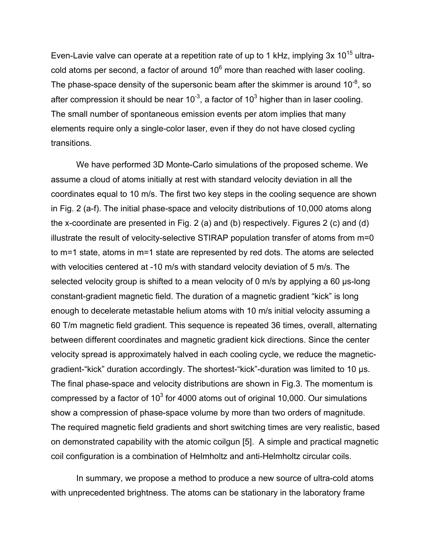Even-Lavie valve can operate at a repetition rate of up to 1 kHz, implying  $3x$  10<sup>15</sup> ultracold atoms per second, a factor of around  $10<sup>6</sup>$  more than reached with laser cooling. The phase-space density of the supersonic beam after the skimmer is around 10 $^3$ , so after compression it should be near 10<sup>-3</sup>, a factor of 10<sup>3</sup> higher than in laser cooling. The small number of spontaneous emission events per atom implies that many elements require only a single-color laser, even if they do not have closed cycling transitions.

We have performed 3D Monte-Carlo simulations of the proposed scheme. We assume a cloud of atoms initially at rest with standard velocity deviation in all the coordinates equal to 10 m/s. The first two key steps in the cooling sequence are shown in Fig. 2 (a-f). The initial phase-space and velocity distributions of 10,000 atoms along the x-coordinate are presented in Fig. 2 (a) and (b) respectively. Figures 2 (c) and (d) illustrate the result of velocity-selective STIRAP population transfer of atoms from m=0 to m=1 state, atoms in m=1 state are represented by red dots. The atoms are selected with velocities centered at -10 m/s with standard velocity deviation of 5 m/s. The selected velocity group is shifted to a mean velocity of 0 m/s by applying a 60 us-long constant-gradient magnetic field. The duration of a magnetic gradient "kick" is long enough to decelerate metastable helium atoms with 10 m/s initial velocity assuming a 60 T/m magnetic field gradient. This sequence is repeated 36 times, overall, alternating between different coordinates and magnetic gradient kick directions. Since the center velocity spread is approximately halved in each cooling cycle, we reduce the magneticgradient-"kick" duration accordingly. The shortest-"kick"-duration was limited to 10 µs. The final phase-space and velocity distributions are shown in Fig.3. The momentum is compressed by a factor of  $10^3$  for 4000 atoms out of original 10,000. Our simulations show a compression of phase-space volume by more than two orders of magnitude. The required magnetic field gradients and short switching times are very realistic, based on demonstrated capability with the atomic coilgun [5]. A simple and practical magnetic coil configuration is a combination of Helmholtz and anti-Helmholtz circular coils.

In summary, we propose a method to produce a new source of ultra-cold atoms with unprecedented brightness. The atoms can be stationary in the laboratory frame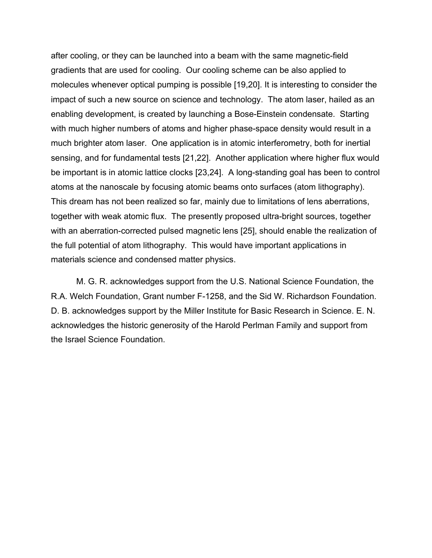after cooling, or they can be launched into a beam with the same magnetic-field gradients that are used for cooling. Our cooling scheme can be also applied to molecules whenever optical pumping is possible [19,20]. It is interesting to consider the impact of such a new source on science and technology. The atom laser, hailed as an enabling development, is created by launching a Bose-Einstein condensate. Starting with much higher numbers of atoms and higher phase-space density would result in a much brighter atom laser. One application is in atomic interferometry, both for inertial sensing, and for fundamental tests [21,22]. Another application where higher flux would be important is in atomic lattice clocks [23,24]. A long-standing goal has been to control atoms at the nanoscale by focusing atomic beams onto surfaces (atom lithography). This dream has not been realized so far, mainly due to limitations of lens aberrations, together with weak atomic flux. The presently proposed ultra-bright sources, together with an aberration-corrected pulsed magnetic lens [25], should enable the realization of the full potential of atom lithography. This would have important applications in materials science and condensed matter physics.

M. G. R. acknowledges support from the U.S. National Science Foundation, the R.A. Welch Foundation, Grant number F-1258, and the Sid W. Richardson Foundation. D. B. acknowledges support by the Miller Institute for Basic Research in Science. E. N. acknowledges the historic generosity of the Harold Perlman Family and support from the Israel Science Foundation.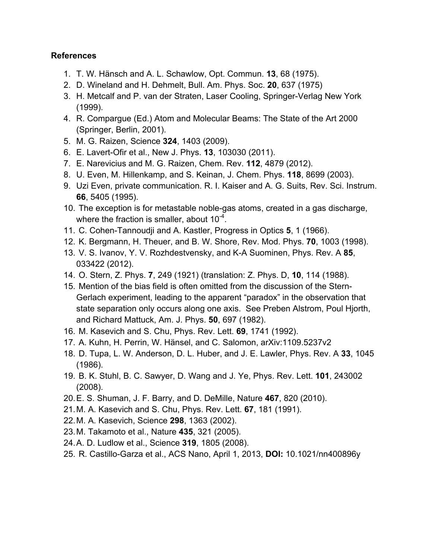## **References**

- 1. T. W. Hänsch and A. L. Schawlow, Opt. Commun. **13**, 68 (1975).
- 2. D. Wineland and H. Dehmelt, Bull. Am. Phys. Soc. **20**, 637 (1975)
- 3. H. Metcalf and P. van der Straten, Laser Cooling, Springer-Verlag New York (1999).
- 4. R. Compargue (Ed.) Atom and Molecular Beams: The State of the Art 2000 (Springer, Berlin, 2001).
- 5. M. G. Raizen, Science **324**, 1403 (2009).
- 6. E. Lavert-Ofir et al., New J. Phys. **13**, 103030 (2011).
- 7. E. Narevicius and M. G. Raizen, Chem. Rev. **112**, 4879 (2012).
- 8. U. Even, M. Hillenkamp, and S. Keinan, J. Chem. Phys. **118**, 8699 (2003).
- 9. Uzi Even, private communication. R. I. Kaiser and A. G. Suits, Rev. Sci. Instrum. **66**, 5405 (1995).
- 10. The exception is for metastable noble-gas atoms, created in a gas discharge, where the fraction is smaller, about 10<sup>-4</sup>.
- 11. C. Cohen-Tannoudji and A. Kastler, Progress in Optics **5**, 1 (1966).
- 12. K. Bergmann, H. Theuer, and B. W. Shore, Rev. Mod. Phys. **70**, 1003 (1998).
- 13. V. S. Ivanov, Y. V. Rozhdestvensky, and K-A Suominen, Phys. Rev. A **85**, 033422 (2012).
- 14. O. Stern, Z. Phys. **7**, 249 (1921) (translation: Z. Phys. D, **10**, 114 (1988).
- 15. Mention of the bias field is often omitted from the discussion of the Stern-Gerlach experiment, leading to the apparent "paradox" in the observation that state separation only occurs along one axis. See Preben Alstrom, Poul Hjorth, and Richard Mattuck, Am. J. Phys. **50**, 697 (1982).
- 16. M. Kasevich and S. Chu, Phys. Rev. Lett. **69**, 1741 (1992).
- 17. A. Kuhn, H. Perrin, W. Hänsel, and C. Salomon, arXiv:1109.5237v2
- 18. D. Tupa, L. W. Anderson, D. L. Huber, and J. E. Lawler, Phys. Rev. A **33**, 1045 (1986).
- 19. B. K. Stuhl, B. C. Sawyer, D. Wang and J. Ye, Phys. Rev. Lett. **101**, 243002 (2008).
- 20.E. S. Shuman, J. F. Barry, and D. DeMille, Nature **467**, 820 (2010).
- 21.M. A. Kasevich and S. Chu, Phys. Rev. Lett. **67**, 181 (1991).
- 22.M. A. Kasevich, Science **298**, 1363 (2002).
- 23.M. Takamoto et al., Nature **435**, 321 (2005).
- 24.A. D. Ludlow et al., Science **319**, 1805 (2008).
- 25. R. Castillo-Garza et al., ACS Nano, April 1, 2013, **DOI:** 10.1021/nn400896y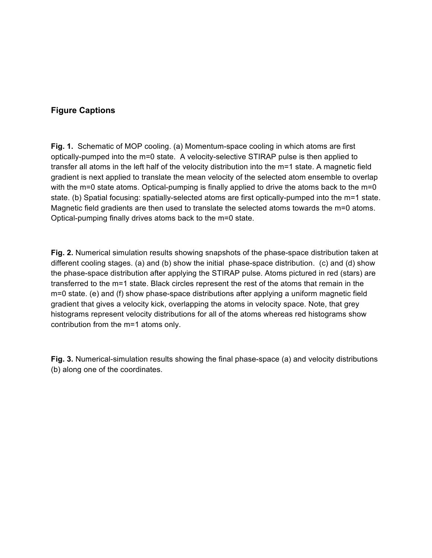## **Figure Captions**

**Fig. 1.** Schematic of MOP cooling. (a) Momentum-space cooling in which atoms are first optically-pumped into the m=0 state. A velocity-selective STIRAP pulse is then applied to transfer all atoms in the left half of the velocity distribution into the m=1 state. A magnetic field gradient is next applied to translate the mean velocity of the selected atom ensemble to overlap with the m=0 state atoms. Optical-pumping is finally applied to drive the atoms back to the m=0 state. (b) Spatial focusing: spatially-selected atoms are first optically-pumped into the m=1 state. Magnetic field gradients are then used to translate the selected atoms towards the m=0 atoms. Optical-pumping finally drives atoms back to the m=0 state.

**Fig. 2.** Numerical simulation results showing snapshots of the phase-space distribution taken at different cooling stages. (a) and (b) show the initial phase-space distribution. (c) and (d) show the phase-space distribution after applying the STIRAP pulse. Atoms pictured in red (stars) are transferred to the m=1 state. Black circles represent the rest of the atoms that remain in the m=0 state. (e) and (f) show phase-space distributions after applying a uniform magnetic field gradient that gives a velocity kick, overlapping the atoms in velocity space. Note, that grey histograms represent velocity distributions for all of the atoms whereas red histograms show contribution from the m=1 atoms only.

**Fig. 3.** Numerical-simulation results showing the final phase-space (a) and velocity distributions (b) along one of the coordinates.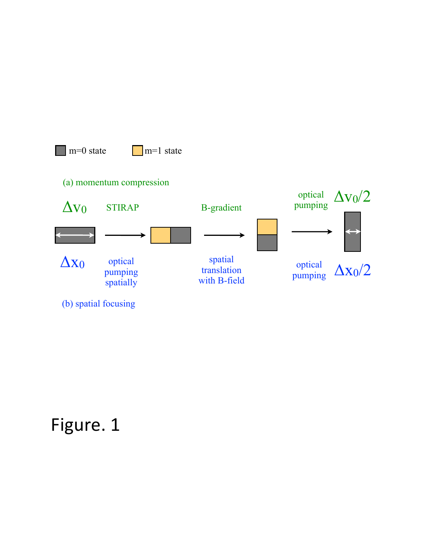

# Figure. 1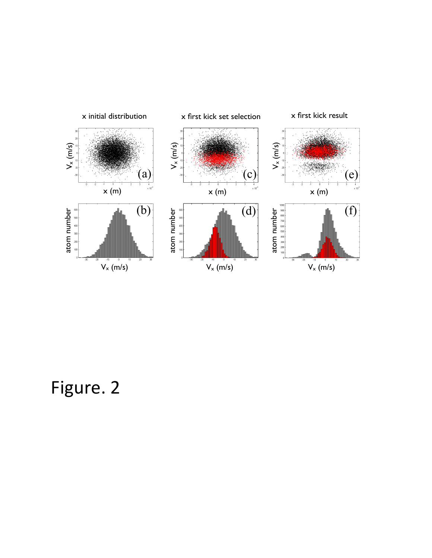

Figure. 2